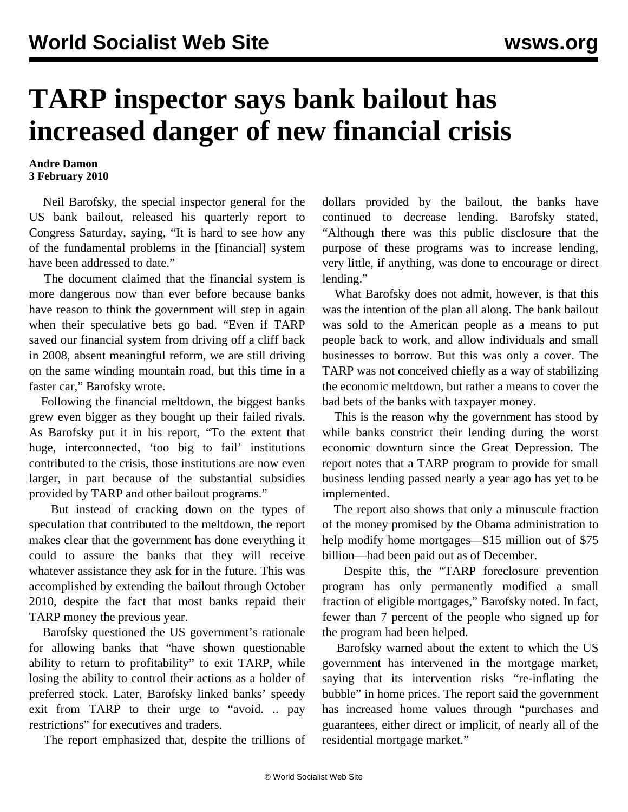## **TARP inspector says bank bailout has increased danger of new financial crisis**

## **Andre Damon 3 February 2010**

 Neil Barofsky, the special inspector general for the US bank bailout, released his quarterly report to Congress Saturday, saying, "It is hard to see how any of the fundamental problems in the [financial] system have been addressed to date."

 The document claimed that the financial system is more dangerous now than ever before because banks have reason to think the government will step in again when their speculative bets go bad. "Even if TARP saved our financial system from driving off a cliff back in 2008, absent meaningful reform, we are still driving on the same winding mountain road, but this time in a faster car," Barofsky wrote.

 Following the financial meltdown, the biggest banks grew even bigger as they bought up their failed rivals. As Barofsky put it in his report, "To the extent that huge, interconnected, 'too big to fail' institutions contributed to the crisis, those institutions are now even larger, in part because of the substantial subsidies provided by TARP and other bailout programs."

 But instead of cracking down on the types of speculation that contributed to the meltdown, the report makes clear that the government has done everything it could to assure the banks that they will receive whatever assistance they ask for in the future. This was accomplished by extending the bailout through October 2010, despite the fact that most banks repaid their TARP money the previous year.

 Barofsky questioned the US government's rationale for allowing banks that "have shown questionable ability to return to profitability" to exit TARP, while losing the ability to control their actions as a holder of preferred stock. Later, Barofsky linked banks' speedy exit from TARP to their urge to "avoid. .. pay restrictions" for executives and traders.

The report emphasized that, despite the trillions of

dollars provided by the bailout, the banks have continued to decrease lending. Barofsky stated, "Although there was this public disclosure that the purpose of these programs was to increase lending, very little, if anything, was done to encourage or direct lending."

 What Barofsky does not admit, however, is that this was the intention of the plan all along. The bank bailout was sold to the American people as a means to put people back to work, and allow individuals and small businesses to borrow. But this was only a cover. The TARP was not conceived chiefly as a way of stabilizing the economic meltdown, but rather a means to cover the bad bets of the banks with taxpayer money.

 This is the reason why the government has stood by while banks constrict their lending during the worst economic downturn since the Great Depression. The report notes that a TARP program to provide for small business lending passed nearly a year ago has yet to be implemented.

 The report also shows that only a minuscule fraction of the money promised by the Obama administration to help modify home mortgages—\$15 million out of \$75 billion—had been paid out as of December.

 Despite this, the "TARP foreclosure prevention program has only permanently modified a small fraction of eligible mortgages," Barofsky noted. In fact, fewer than 7 percent of the people who signed up for the program had been helped.

 Barofsky warned about the extent to which the US government has intervened in the mortgage market, saying that its intervention risks "re-inflating the bubble" in home prices. The report said the government has increased home values through "purchases and guarantees, either direct or implicit, of nearly all of the residential mortgage market."